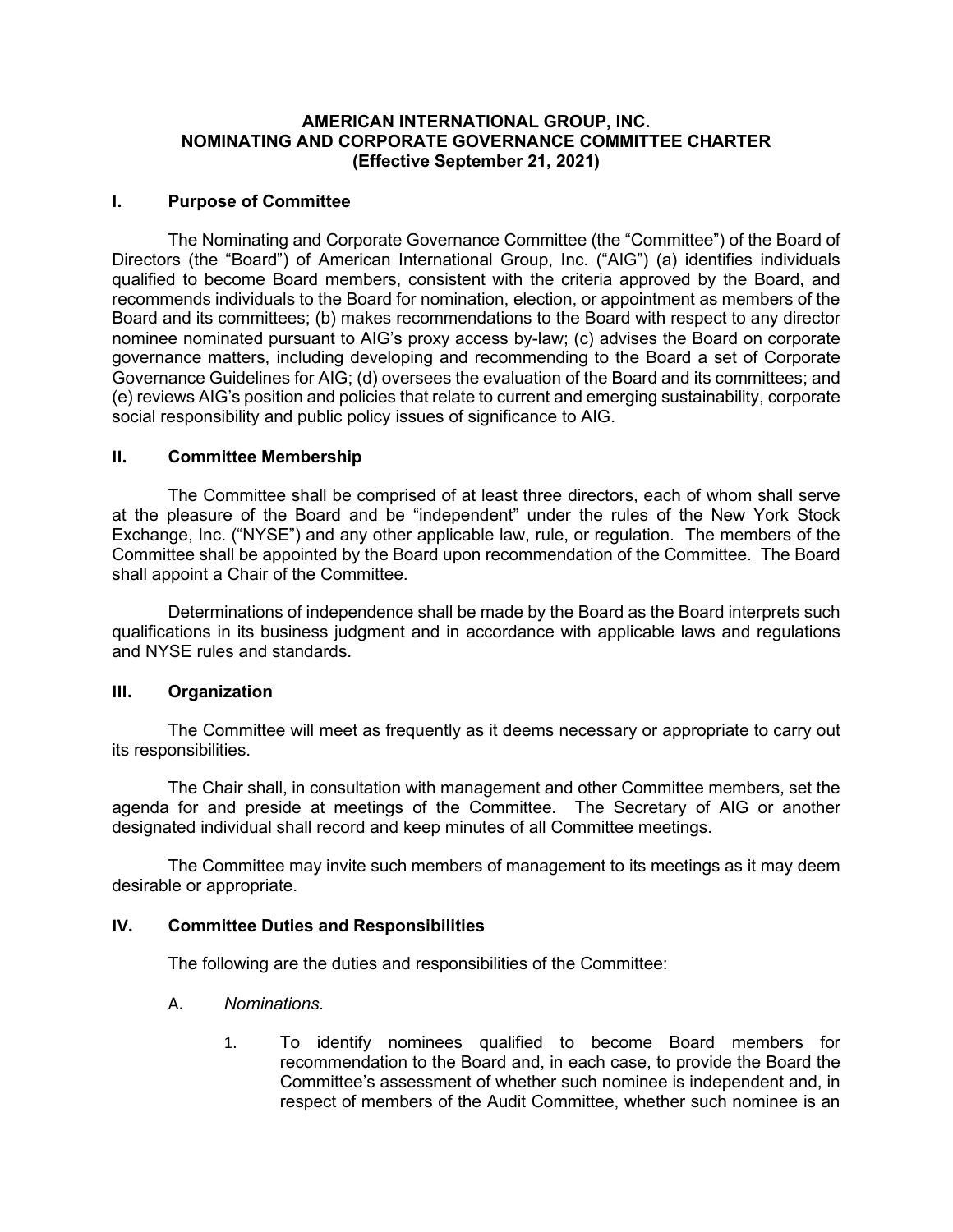# **AMERICAN INTERNATIONAL GROUP, INC. NOMINATING AND CORPORATE GOVERNANCE COMMITTEE CHARTER (Effective September 21, 2021)**

# **I. Purpose of Committee**

The Nominating and Corporate Governance Committee (the "Committee") of the Board of Directors (the "Board") of American International Group, Inc. ("AIG") (a) identifies individuals qualified to become Board members, consistent with the criteria approved by the Board, and recommends individuals to the Board for nomination, election, or appointment as members of the Board and its committees; (b) makes recommendations to the Board with respect to any director nominee nominated pursuant to AIG's proxy access by-law; (c) advises the Board on corporate governance matters, including developing and recommending to the Board a set of Corporate Governance Guidelines for AIG; (d) oversees the evaluation of the Board and its committees; and (e) reviews AIG's position and policies that relate to current and emerging sustainability, corporate social responsibility and public policy issues of significance to AIG.

#### **II. Committee Membership**

The Committee shall be comprised of at least three directors, each of whom shall serve at the pleasure of the Board and be "independent" under the rules of the New York Stock Exchange, Inc. ("NYSE") and any other applicable law, rule, or regulation. The members of the Committee shall be appointed by the Board upon recommendation of the Committee. The Board shall appoint a Chair of the Committee.

Determinations of independence shall be made by the Board as the Board interprets such qualifications in its business judgment and in accordance with applicable laws and regulations and NYSE rules and standards.

#### **III. Organization**

The Committee will meet as frequently as it deems necessary or appropriate to carry out its responsibilities.

The Chair shall, in consultation with management and other Committee members, set the agenda for and preside at meetings of the Committee. The Secretary of AIG or another designated individual shall record and keep minutes of all Committee meetings.

The Committee may invite such members of management to its meetings as it may deem desirable or appropriate.

#### **IV. Committee Duties and Responsibilities**

The following are the duties and responsibilities of the Committee:

- A. *Nominations.*
	- 1. To identify nominees qualified to become Board members for recommendation to the Board and, in each case, to provide the Board the Committee's assessment of whether such nominee is independent and, in respect of members of the Audit Committee, whether such nominee is an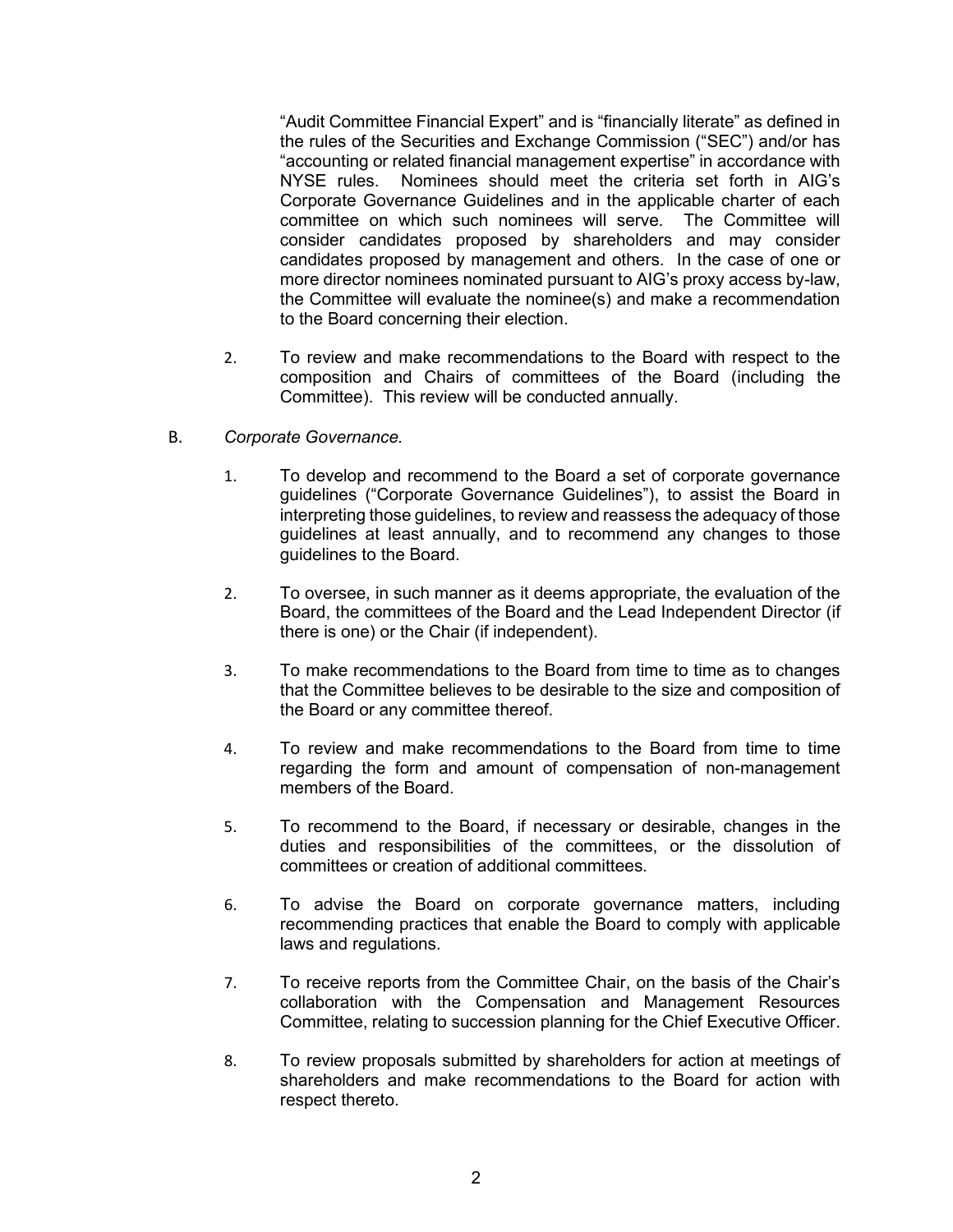"Audit Committee Financial Expert" and is "financially literate" as defined in the rules of the Securities and Exchange Commission ("SEC") and/or has "accounting or related financial management expertise" in accordance with NYSE rules. Nominees should meet the criteria set forth in AIG's Corporate Governance Guidelines and in the applicable charter of each committee on which such nominees will serve. The Committee will consider candidates proposed by shareholders and may consider candidates proposed by management and others. In the case of one or more director nominees nominated pursuant to AIG's proxy access by-law, the Committee will evaluate the nominee(s) and make a recommendation to the Board concerning their election.

- 2. To review and make recommendations to the Board with respect to the composition and Chairs of committees of the Board (including the Committee). This review will be conducted annually.
- B. *Corporate Governance.*
	- 1. To develop and recommend to the Board a set of corporate governance guidelines ("Corporate Governance Guidelines"), to assist the Board in interpreting those guidelines, to review and reassess the adequacy of those guidelines at least annually, and to recommend any changes to those guidelines to the Board.
	- 2. To oversee, in such manner as it deems appropriate, the evaluation of the Board, the committees of the Board and the Lead Independent Director (if there is one) or the Chair (if independent).
	- 3. To make recommendations to the Board from time to time as to changes that the Committee believes to be desirable to the size and composition of the Board or any committee thereof.
	- 4. To review and make recommendations to the Board from time to time regarding the form and amount of compensation of non-management members of the Board.
	- 5. To recommend to the Board, if necessary or desirable, changes in the duties and responsibilities of the committees, or the dissolution of committees or creation of additional committees.
	- 6. To advise the Board on corporate governance matters, including recommending practices that enable the Board to comply with applicable laws and regulations.
	- 7. To receive reports from the Committee Chair, on the basis of the Chair's collaboration with the Compensation and Management Resources Committee, relating to succession planning for the Chief Executive Officer.
	- 8. To review proposals submitted by shareholders for action at meetings of shareholders and make recommendations to the Board for action with respect thereto.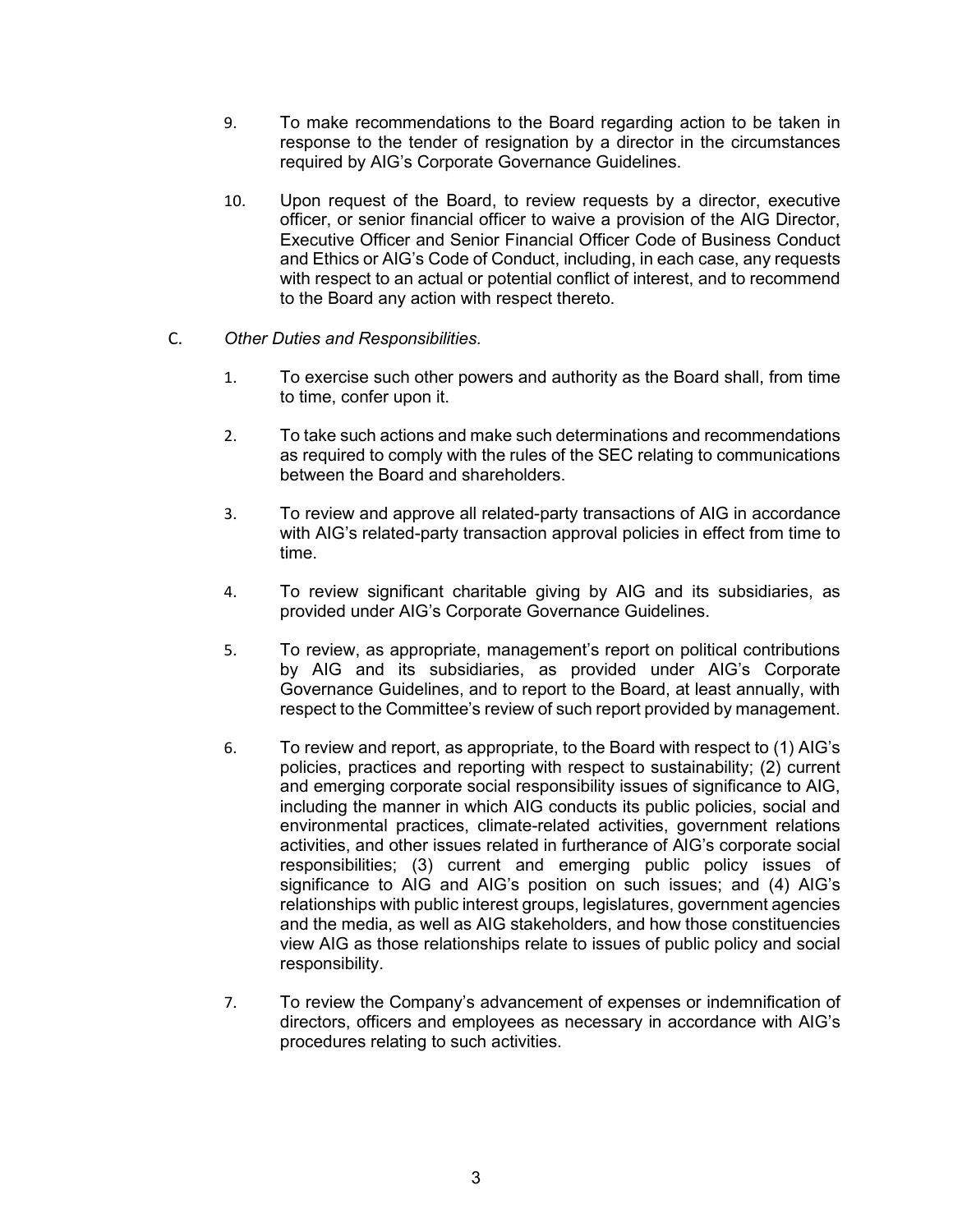- 9. To make recommendations to the Board regarding action to be taken in response to the tender of resignation by a director in the circumstances required by AIG's Corporate Governance Guidelines.
- 10. Upon request of the Board, to review requests by a director, executive officer, or senior financial officer to waive a provision of the AIG Director, Executive Officer and Senior Financial Officer Code of Business Conduct and Ethics or AIG's Code of Conduct, including, in each case, any requests with respect to an actual or potential conflict of interest, and to recommend to the Board any action with respect thereto.
- C. *Other Duties and Responsibilities.*
	- 1. To exercise such other powers and authority as the Board shall, from time to time, confer upon it.
	- 2. To take such actions and make such determinations and recommendations as required to comply with the rules of the SEC relating to communications between the Board and shareholders.
	- 3. To review and approve all related-party transactions of AIG in accordance with AIG's related-party transaction approval policies in effect from time to time.
	- 4. To review significant charitable giving by AIG and its subsidiaries, as provided under AIG's Corporate Governance Guidelines.
	- 5. To review, as appropriate, management's report on political contributions by AIG and its subsidiaries, as provided under AIG's Corporate Governance Guidelines, and to report to the Board, at least annually, with respect to the Committee's review of such report provided by management.
	- 6. To review and report, as appropriate, to the Board with respect to (1) AIG's policies, practices and reporting with respect to sustainability; (2) current and emerging corporate social responsibility issues of significance to AIG, including the manner in which AIG conducts its public policies, social and environmental practices, climate-related activities, government relations activities, and other issues related in furtherance of AIG's corporate social responsibilities; (3) current and emerging public policy issues of significance to AIG and AIG's position on such issues; and (4) AIG's relationships with public interest groups, legislatures, government agencies and the media, as well as AIG stakeholders, and how those constituencies view AIG as those relationships relate to issues of public policy and social responsibility.
	- 7. To review the Company's advancement of expenses or indemnification of directors, officers and employees as necessary in accordance with AIG's procedures relating to such activities.